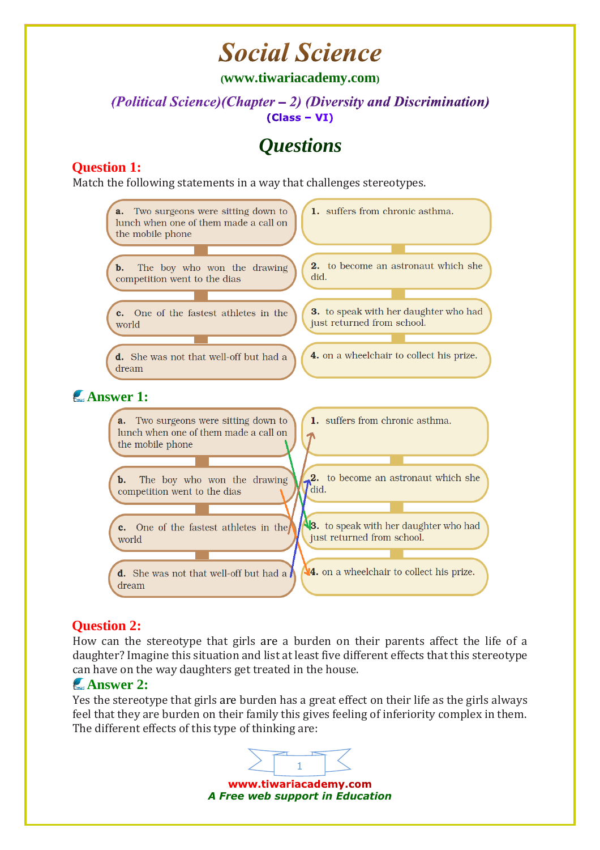# **Social Science**

**([www.tiwariacademy.com](http://www.tiwariacademy.com/))**

#### (Political Science) (Chapter – 2) (Diversity and Discrimination)  $(Class - VI)$

### *Questions*

### **Question 1:**

Match the following statements in a way that challenges stereotypes.



### **Question 2:**

How can the stereotype that girls [are](http://www.tiwariacademy.com/) a burden on their parents affect the life of a daughter? Imagine this situation and list at least five different effects that this stereotype can have on the way daughters get treated in the house.

#### **Answer 2:**

Yes the stereotype that girls [are](http://www.tiwariacademy.com/) burden has a great effect on their life as the girls always feel that they are burden on their family this gives feeling of inferiority complex in them. The different effects of this type of thinking are:

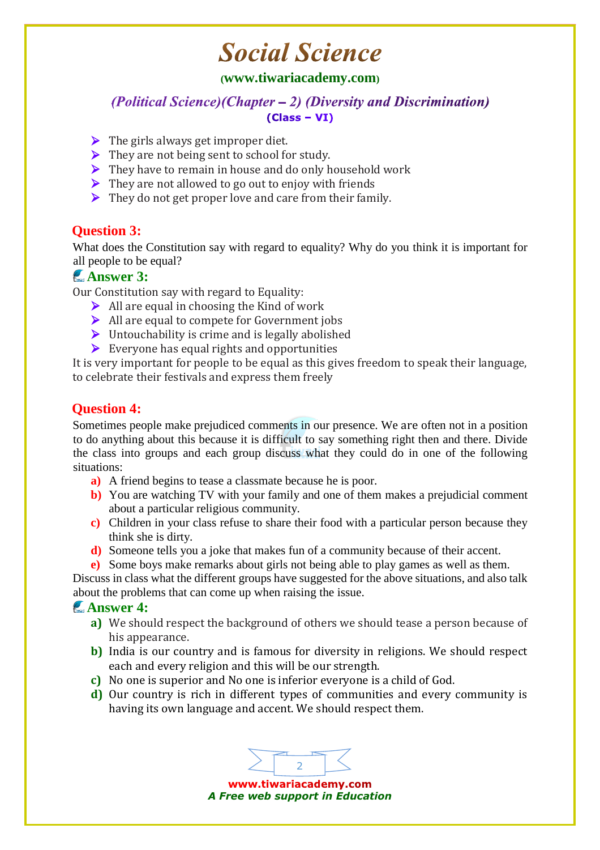# **Social Science**

#### **([www.tiwariacademy.com](http://www.tiwariacademy.com/))**

(Political Science) (Chapter – 2) (Diversity and Discrimination)  $(Class - VI)$ 

- $\triangleright$  The girls always get improper diet.
- $\triangleright$  They are not being sent to school for study.
- $\triangleright$  They have to remain in house and do only household work
- $\triangleright$  They are not allowed to go out to enjoy with friends
- $\triangleright$  They do not get proper love and care from their family.

#### **Question 3:**

What does the Constitution say with regard to equality? Why do you think it is important for all people to be equal?

#### **Answer 3:**

Our Constitution say with regard to Equality:

- $\triangleright$  All are equal in choosing the Kind of work
- $\triangleright$  All are equal to compete for Government jobs
- $\triangleright$  Untouchability is crime and is legally abolished
- $\triangleright$  Everyone has equal rights and opportunities

It is very important for people to be equal as this gives freedom to speak their language, to celebrate their festivals and express them freely

#### **Question 4:**

Sometimes people make prejudiced comments in our presence. We [are](http://www.tiwariacademy.com/) often not in a position to do anything about this because it is difficult to say something right then and there. Divide the class into groups and each group discuss what they could do in one of the following situations:

- **a)** A friend begins to tease a classmate because he is poor.
- **b**) You are watching TV with your family and one of them makes a prejudicial comment about a particular religious community.
- **c)** Children in your class refuse to share their food with a particular person because they think she is dirty.
- **d)** Someone tells you a joke that makes fun of a community because of their accent.
- **e)** Some boys make remarks about girls not being able to play games as well as them.

Discuss in class what the different groups have suggested for the above situations, and also talk about the problems that can come up when raising the issue.

#### **Answer 4:**

- **a)** We should respect the background of others we should tease a person because of his appearance.
- **b**) India is our country and is famous for diversity in religions. We should respect each and every religion and this will be our strength.
- **c)** No one is superior and No one is inferior everyone is a child of God.
- **d)** Our country is rich in different types of communities and every community is having its own language and accent. We should respect them.